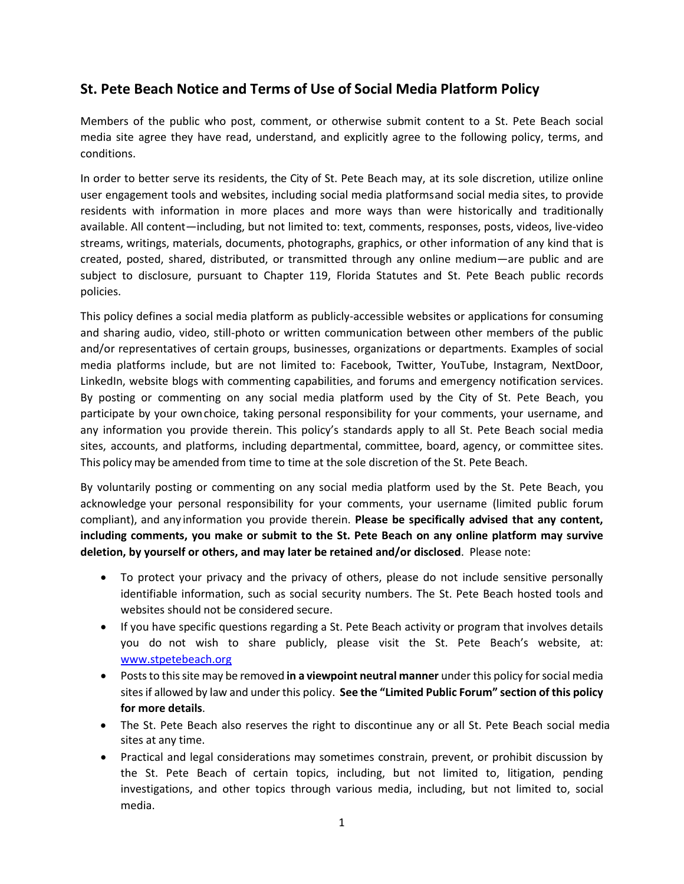# **St. Pete Beach Notice and Terms of Use of Social Media Platform Policy**

Members of the public who post, comment, or otherwise submit content to a St. Pete Beach social media site agree they have read, understand, and explicitly agree to the following policy, terms, and conditions.

In order to better serve its residents, the City of St. Pete Beach may, at its sole discretion, utilize online user engagement tools and websites, including social media platformsand social media sites, to provide residents with information in more places and more ways than were historically and traditionally available. All content—including, but not limited to: text, comments, responses, posts, videos, live-video streams, writings, materials, documents, photographs, graphics, or other information of any kind that is created, posted, shared, distributed, or transmitted through any online medium—are public and are subject to disclosure, pursuant to Chapter 119, Florida Statutes and St. Pete Beach public records policies.

This policy defines a social media platform as publicly-accessible websites or applications for consuming and sharing audio, video, still-photo or written communication between other members of the public and/or representatives of certain groups, businesses, organizations or departments. Examples of social media platforms include, but are not limited to: Facebook, Twitter, YouTube, Instagram, NextDoor, LinkedIn, website blogs with commenting capabilities, and forums and emergency notification services. By posting or commenting on any social media platform used by the City of St. Pete Beach, you participate by your ownchoice, taking personal responsibility for your comments, your username, and any information you provide therein. This policy's standards apply to all St. Pete Beach social media sites, accounts, and platforms, including departmental, committee, board, agency, or committee sites. This policy may be amended from time to time at the sole discretion of the St. Pete Beach.

By voluntarily posting or commenting on any social media platform used by the St. Pete Beach, you acknowledge your personal responsibility for your comments, your username (limited public forum compliant), and any information you provide therein. **Please be specifically advised that any content, including comments, you make or submit to the St. Pete Beach on any online platform may survive deletion, by yourself or others, and may later be retained and/or disclosed**. Please note:

- To protect your privacy and the privacy of others, please do not include sensitive personally identifiable information, such as social security numbers. The St. Pete Beach hosted tools and websites should not be considered secure.
- If you have specific questions regarding a St. Pete Beach activity or program that involves details you do not wish to share publicly, please visit the St. Pete Beach's website, at: [www.stpetebeach.org](http://www.stpetebeach.org/)
- Poststo thissite may be removed **in a viewpoint neutral manner** under this policy forsocial media sitesif allowed by law and under this policy. **See the "Limited Public Forum" section of this policy for more details**.
- The St. Pete Beach also reserves the right to discontinue any or all St. Pete Beach social media sites at any time.
- Practical and legal considerations may sometimes constrain, prevent, or prohibit discussion by the St. Pete Beach of certain topics, including, but not limited to, litigation, pending investigations, and other topics through various media, including, but not limited to, social media.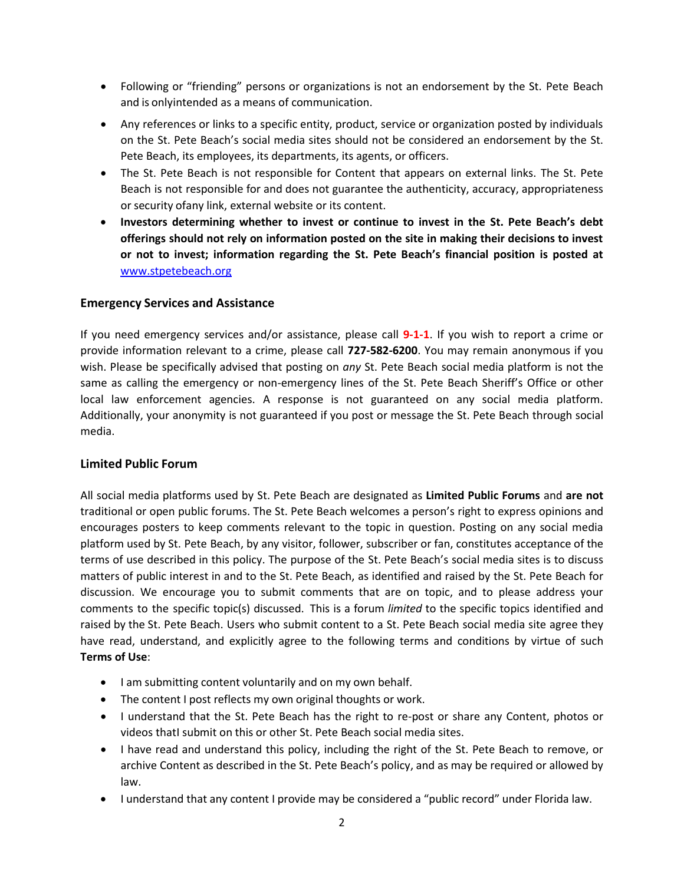- Following or "friending" persons or organizations is not an endorsement by the St. Pete Beach and is onlyintended as a means of communication.
- Any references or links to a specific entity, product, service or organization posted by individuals on the St. Pete Beach's social media sites should not be considered an endorsement by the St. Pete Beach, its employees, its departments, its agents, or officers.
- The St. Pete Beach is not responsible for Content that appears on external links. The St. Pete Beach is not responsible for and does not guarantee the authenticity, accuracy, appropriateness or security of any link, external website or its content.
- **Investors determining whether to invest or continue to invest in the St. Pete Beach's debt offerings should not rely on information posted on the site in making their decisions to invest or not to invest; information regarding the St. Pete Beach's financial position is posted at** [www.stpetebeach.org](http://www.stpetebeach.org/)

# **Emergency Services and Assistance**

If you need emergency services and/or assistance, please call **9-1-1**. If you wish to report a crime or provide information relevant to a crime, please call **727-582-6200**. You may remain anonymous if you wish. Please be specifically advised that posting on *any* St. Pete Beach social media platform is not the same as calling the emergency or non-emergency lines of the St. Pete Beach Sheriff's Office or other local law enforcement agencies. A response is not guaranteed on any social media platform. Additionally, your anonymity is not guaranteed if you post or message the St. Pete Beach through social media.

# **Limited Public Forum**

All social media platforms used by St. Pete Beach are designated as **Limited Public Forums** and **are not** traditional or open public forums. The St. Pete Beach welcomes a person's right to express opinions and encourages posters to keep comments relevant to the topic in question. Posting on any social media platform used by St. Pete Beach, by any visitor, follower, subscriber or fan, constitutes acceptance of the terms of use described in this policy. The purpose of the St. Pete Beach's social media sites is to discuss matters of public interest in and to the St. Pete Beach, as identified and raised by the St. Pete Beach for discussion. We encourage you to submit comments that are on topic, and to please address your comments to the specific topic(s) discussed. This is a forum *limited* to the specific topics identified and raised by the St. Pete Beach. Users who submit content to a St. Pete Beach social media site agree they have read, understand, and explicitly agree to the following terms and conditions by virtue of such **Terms of Use**:

- I am submitting content voluntarily and on my own behalf.
- The content I post reflects my own original thoughts or work.
- I understand that the St. Pete Beach has the right to re-post or share any Content, photos or videos thatI submit on this or other St. Pete Beach social media sites.
- I have read and understand this policy, including the right of the St. Pete Beach to remove, or archive Content as described in the St. Pete Beach's policy, and as may be required or allowed by law.
- I understand that any content I provide may be considered a "public record" under Florida law.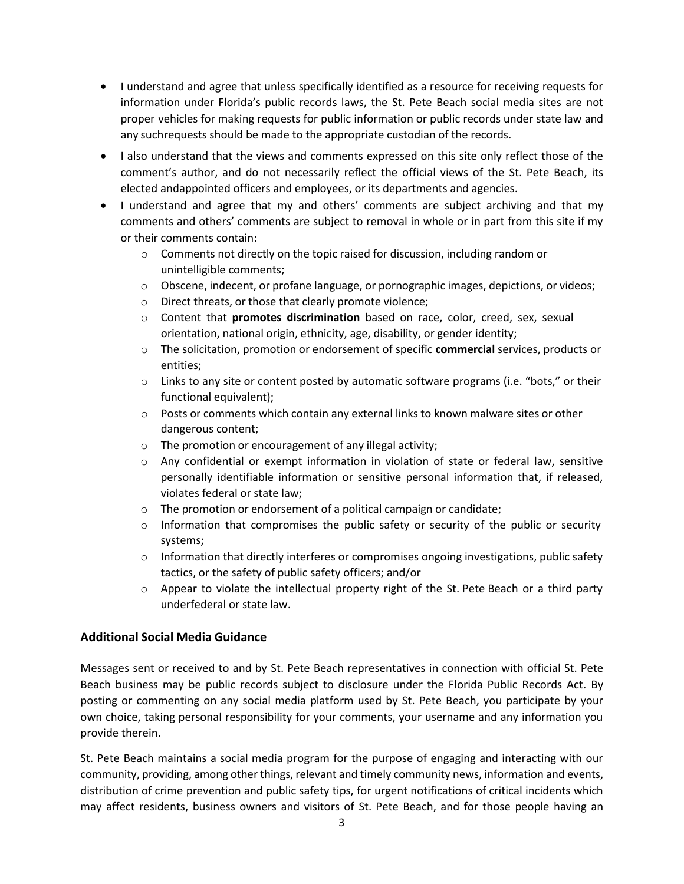- I understand and agree that unless specifically identified as a resource for receiving requests for information under Florida's public records laws, the St. Pete Beach social media sites are not proper vehicles for making requests for public information or public records under state law and any suchrequests should be made to the appropriate custodian of the records.
- I also understand that the views and comments expressed on this site only reflect those of the comment's author, and do not necessarily reflect the official views of the St. Pete Beach, its elected andappointed officers and employees, or its departments and agencies.
- I understand and agree that my and others' comments are subject archiving and that my comments and others' comments are subject to removal in whole or in part from this site if my or their comments contain:
	- $\circ$  Comments not directly on the topic raised for discussion, including random or unintelligible comments;
	- $\circ$  Obscene, indecent, or profane language, or pornographic images, depictions, or videos;
	- o Direct threats, or those that clearly promote violence;
	- o Content that **promotes discrimination** based on race, color, creed, sex, sexual orientation, national origin, ethnicity, age, disability, or gender identity;
	- o The solicitation, promotion or endorsement of specific **commercial** services, products or entities;
	- $\circ$  Links to any site or content posted by automatic software programs (i.e. "bots," or their functional equivalent);
	- $\circ$  Posts or comments which contain any external links to known malware sites or other dangerous content;
	- o The promotion or encouragement of any illegal activity;
	- $\circ$  Any confidential or exempt information in violation of state or federal law, sensitive personally identifiable information or sensitive personal information that, if released, violates federal or state law;
	- o The promotion or endorsement of a political campaign or candidate;
	- $\circ$  Information that compromises the public safety or security of the public or security systems;
	- $\circ$  Information that directly interferes or compromises ongoing investigations, public safety tactics, or the safety of public safety officers; and/or
	- $\circ$  Appear to violate the intellectual property right of the St. Pete Beach or a third party underfederal or state law.

# **Additional Social Media Guidance**

Messages sent or received to and by St. Pete Beach representatives in connection with official St. Pete Beach business may be public records subject to disclosure under the Florida Public Records Act. By posting or commenting on any social media platform used by St. Pete Beach, you participate by your own choice, taking personal responsibility for your comments, your username and any information you provide therein.

St. Pete Beach maintains a social media program for the purpose of engaging and interacting with our community, providing, among other things, relevant and timely community news, information and events, distribution of crime prevention and public safety tips, for urgent notifications of critical incidents which may affect residents, business owners and visitors of St. Pete Beach, and for those people having an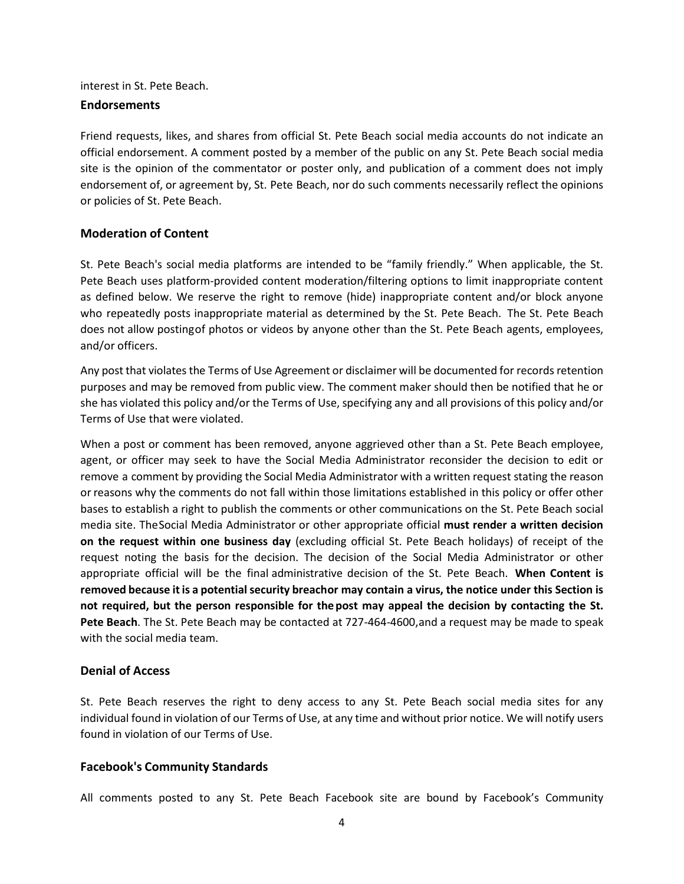# interest in St. Pete Beach.

#### **Endorsements**

Friend requests, likes, and shares from official St. Pete Beach social media accounts do not indicate an official endorsement. A comment posted by a member of the public on any St. Pete Beach social media site is the opinion of the commentator or poster only, and publication of a comment does not imply endorsement of, or agreement by, St. Pete Beach, nor do such comments necessarily reflect the opinions or policies of St. Pete Beach.

# **Moderation of Content**

St. Pete Beach's social media platforms are intended to be "family friendly." When applicable, the St. Pete Beach uses platform-provided content moderation/filtering options to limit inappropriate content as defined below. We reserve the right to remove (hide) inappropriate content and/or block anyone who repeatedly posts inappropriate material as determined by the St. Pete Beach. The St. Pete Beach does not allow postingof photos or videos by anyone other than the St. Pete Beach agents, employees, and/or officers.

Any post that violates the Terms of Use Agreement or disclaimer will be documented for records retention purposes and may be removed from public view. The comment maker should then be notified that he or she has violated this policy and/or the Terms of Use, specifying any and all provisions of this policy and/or Terms of Use that were violated.

When a post or comment has been removed, anyone aggrieved other than a St. Pete Beach employee, agent, or officer may seek to have the Social Media Administrator reconsider the decision to edit or remove a comment by providing the Social Media Administrator with a written request stating the reason or reasons why the comments do not fall within those limitations established in this policy or offer other bases to establish a right to publish the comments or other communications on the St. Pete Beach social media site. TheSocial Media Administrator or other appropriate official **must render a written decision on the request within one business day** (excluding official St. Pete Beach holidays) of receipt of the request noting the basis for the decision. The decision of the Social Media Administrator or other appropriate official will be the final administrative decision of the St. Pete Beach. **When Content is removed because it is a potentialsecurity breachor may contain a virus, the notice under this Section is not required, but the person responsible for thepost may appeal the decision by contacting the St. Pete Beach**. The St. Pete Beach may be contacted at 727-464-4600,and a request may be made to speak with the social media team.

# **Denial of Access**

St. Pete Beach reserves the right to deny access to any St. Pete Beach social media sites for any individual found in violation of our Terms of Use, at any time and without prior notice. We will notify users found in violation of our Terms of Use.

# **Facebook's Community Standards**

All comments posted to any St. Pete Beach Facebook site are bound by Facebook's Community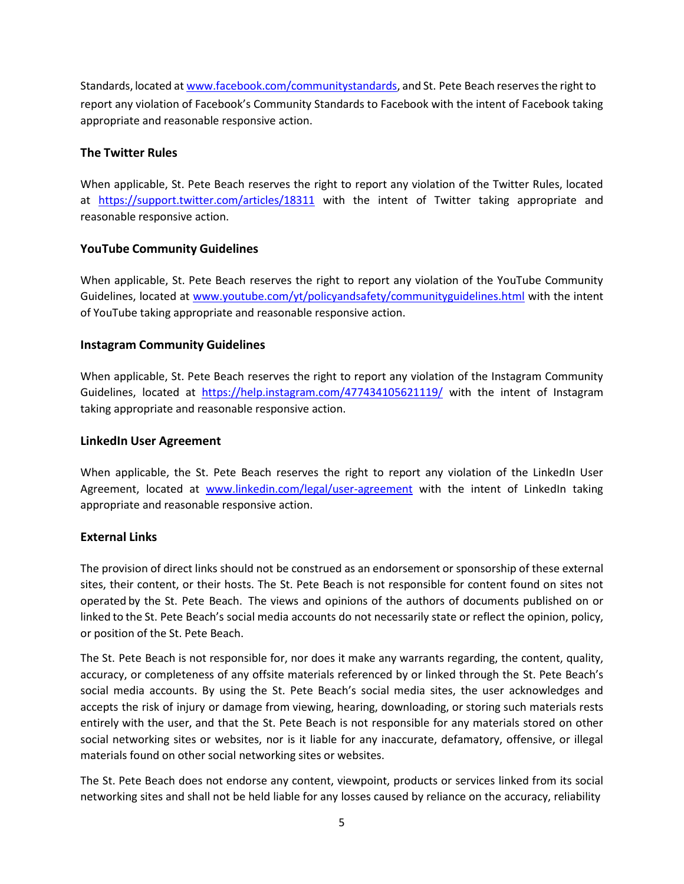Standards, located at [www.facebook.com/communitystandards,](http://www.facebook.com/communitystandards) and St. Pete Beach reserves the right to report any violation of Facebook's Community Standards to Facebook with the intent of Facebook taking appropriate and reasonable responsive action.

# **The Twitter Rules**

When applicable, St. Pete Beach reserves the right to report any violation of the Twitter Rules, located at <https://support.twitter.com/articles/18311> with the intent of Twitter taking appropriate and reasonable responsive action.

# **YouTube Community Guidelines**

When applicable, St. Pete Beach reserves the right to report any violation of the YouTube Community Guidelines, located at [www.youtube.com/yt/policyandsafety/communityguidelines.html](http://www.youtube.com/yt/policyandsafety/communityguidelines.html) with the intent of YouTube taking appropriate and reasonable responsive action.

# **Instagram Community Guidelines**

When applicable, St. Pete Beach reserves the right to report any violation of the Instagram Community Guidelines, located at <https://help.instagram.com/477434105621119/> with the intent of Instagram taking appropriate and reasonable responsive action.

# **LinkedIn User Agreement**

When applicable, the St. Pete Beach reserves the right to report any violation of the LinkedIn User Agreement, located at [www.linkedin.com/legal/user-agreement](http://www.linkedin.com/legal/user-agreement) with the intent of LinkedIn taking appropriate and reasonable responsive action.

# **External Links**

The provision of direct links should not be construed as an endorsement or sponsorship of these external sites, their content, or their hosts. The St. Pete Beach is not responsible for content found on sites not operated by the St. Pete Beach. The views and opinions of the authors of documents published on or linked to the St. Pete Beach's social media accounts do not necessarily state or reflect the opinion, policy, or position of the St. Pete Beach.

The St. Pete Beach is not responsible for, nor does it make any warrants regarding, the content, quality, accuracy, or completeness of any offsite materials referenced by or linked through the St. Pete Beach's social media accounts. By using the St. Pete Beach's social media sites, the user acknowledges and accepts the risk of injury or damage from viewing, hearing, downloading, or storing such materials rests entirely with the user, and that the St. Pete Beach is not responsible for any materials stored on other social networking sites or websites, nor is it liable for any inaccurate, defamatory, offensive, or illegal materials found on other social networking sites or websites.

The St. Pete Beach does not endorse any content, viewpoint, products or services linked from its social networking sites and shall not be held liable for any losses caused by reliance on the accuracy, reliability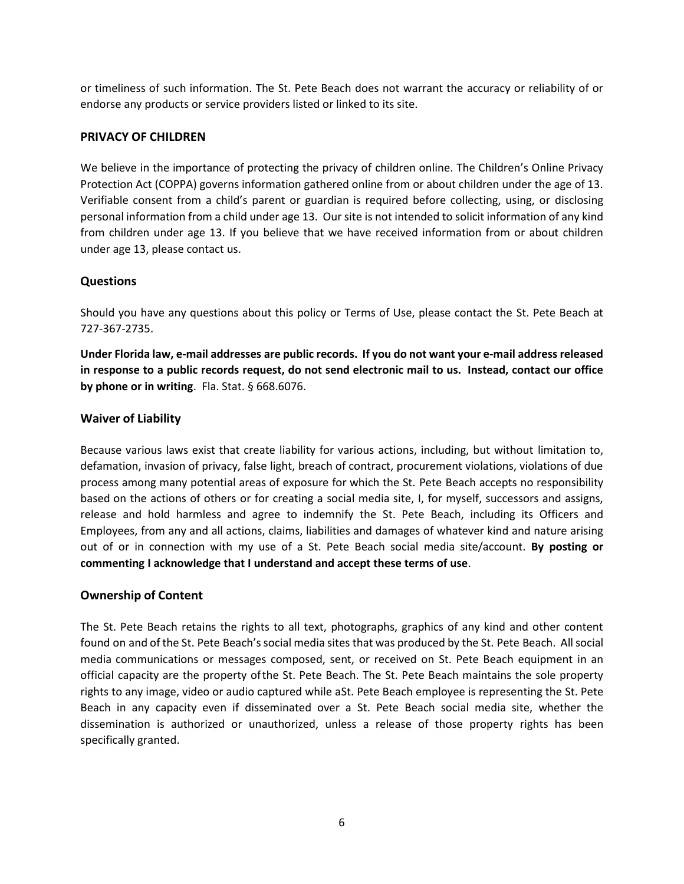or timeliness of such information. The St. Pete Beach does not warrant the accuracy or reliability of or endorse any products or service providers listed or linked to its site.

# **PRIVACY OF CHILDREN**

We believe in the importance of protecting the privacy of children online. The Children's Online Privacy Protection Act (COPPA) governs information gathered online from or about children under the age of 13. Verifiable consent from a child's parent or guardian is required before collecting, using, or disclosing personal information from a child under age 13. Our site is not intended to solicit information of any kind from children under age 13. If you believe that we have received information from or about children under age 13, please contact us.

#### **Questions**

Should you have any questions about this policy or Terms of Use, please contact the St. Pete Beach at 727-367-2735.

**Under Florida law, e-mail addresses are public records. If you do not want your e-mail addressreleased in response to a public records request, do not send electronic mail to us. Instead, contact our office by phone or in writing**. Fla. Stat. § 668.6076.

#### **Waiver of Liability**

Because various laws exist that create liability for various actions, including, but without limitation to, defamation, invasion of privacy, false light, breach of contract, procurement violations, violations of due process among many potential areas of exposure for which the St. Pete Beach accepts no responsibility based on the actions of others or for creating a social media site, I, for myself, successors and assigns, release and hold harmless and agree to indemnify the St. Pete Beach, including its Officers and Employees, from any and all actions, claims, liabilities and damages of whatever kind and nature arising out of or in connection with my use of a St. Pete Beach social media site/account. **By posting or commenting I acknowledge that I understand and accept these terms of use**.

#### **Ownership of Content**

The St. Pete Beach retains the rights to all text, photographs, graphics of any kind and other content found on and of the St. Pete Beach's social media sites that was produced by the St. Pete Beach. All social media communications or messages composed, sent, or received on St. Pete Beach equipment in an official capacity are the property ofthe St. Pete Beach. The St. Pete Beach maintains the sole property rights to any image, video or audio captured while aSt. Pete Beach employee is representing the St. Pete Beach in any capacity even if disseminated over a St. Pete Beach social media site, whether the dissemination is authorized or unauthorized, unless a release of those property rights has been specifically granted.